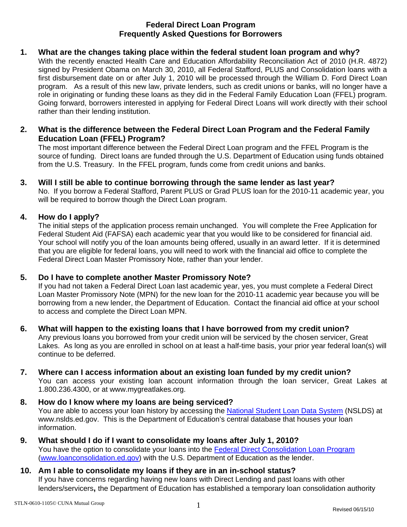# **Federal Direct Loan Program Frequently Asked Questions for Borrowers**

# **1. What are the changes taking place within the federal student loan program and why?**

With the recently enacted Health Care and Education Affordability Reconciliation Act of 2010 (H.R. 4872) signed by President Obama on March 30, 2010, all Federal Stafford, PLUS and Consolidation loans with a first disbursement date on or after July 1, 2010 will be processed through the William D. Ford Direct Loan program. As a result of this new law, private lenders, such as credit unions or banks, will no longer have a role in originating or funding these loans as they did in the Federal Family Education Loan (FFEL) program. Going forward, borrowers interested in applying for Federal Direct Loans will work directly with their school rather than their lending institution.

# **2. What is the difference between the Federal Direct Loan Program and the Federal Family Education Loan (FFEL) Program?**

The most important difference between the Federal Direct Loan program and the FFEL Program is the source of funding. Direct loans are funded through the U.S. Department of Education using funds obtained from the U.S. Treasury. In the FFEL program, funds come from credit unions and banks.

# **3. Will I still be able to continue borrowing through the same lender as last year?**

No. If you borrow a Federal Stafford, Parent PLUS or Grad PLUS loan for the 2010-11 academic year, you will be required to borrow though the Direct Loan program.

# **4. How do I apply?**

The initial steps of the application process remain unchanged. You will complete the Free Application for Federal Student Aid (FAFSA) each academic year that you would like to be considered for financial aid. Your school will notify you of the loan amounts being offered, usually in an award letter. If it is determined that you are eligible for federal loans, you will need to work with the financial aid office to complete the Federal Direct Loan Master Promissory Note, rather than your lender.

# **5. Do I have to complete another Master Promissory Note?**

If you had not taken a Federal Direct Loan last academic year, yes, you must complete a Federal Direct Loan Master Promissory Note (MPN) for the new loan for the 2010-11 academic year because you will be borrowing from a new lender, the Department of Education. Contact the financial aid office at your school to access and complete the Direct Loan MPN.

# **6. What will happen to the existing loans that I have borrowed from my credit union?**

Any previous loans you borrowed from your credit union will be serviced by the chosen servicer, Great Lakes. As long as you are enrolled in school on at least a half-time basis, your prior year federal loan(s) will continue to be deferred.

# **7. Where can I access information about an existing loan funded by my credit union?**

You can access your existing loan account information through the loan servicer, Great Lakes at 1.800.236.4300, or at www.mygreatlakes.org.

#### **8. How do I know where my loans are being serviced?**  You are able to access your loan history by accessing the [National Student Loan Data System](http://www.nslds.ed.gov/nslds_SA/) (NSLDS) at www.nslds.ed.gov. This is the Department of Education's central database that houses your loan information.

# **9. What should I do if I want to consolidate my loans after July 1, 2010?**  You have the option to consolidate your loans into the [Federal Direct Consolidation Loan Program](https://loanconsolidation.ed.gov/AppEntry/apply-online/appindex.jsp) [\(www.loanconsolidation.ed.gov](http://www.loanconsolidation.ed.gov/)) with the U.S. Department of Education as the lender.

#### **10. Am I able to consolidate my loans if they are in an in-school status?**  If you have concerns regarding having new loans with Direct Lending and past loans with other lenders/servicers**,** the Department of Education has established a temporary loan consolidation authority